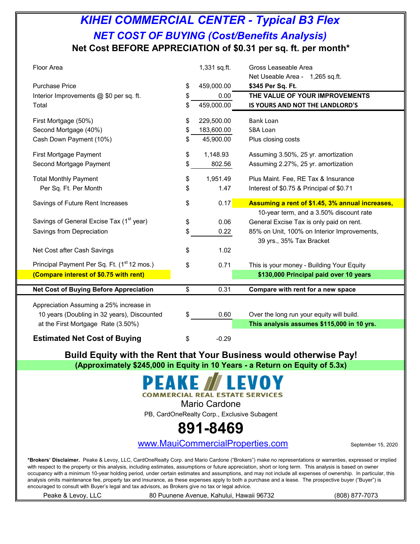## *KIHEI COMMERCIAL CENTER - Typical B3 Flex* **Net Cost BEFORE APPRECIATION of \$0.31 per sq. ft. per month\*** *NET COST OF BUYING (Cost/Benefits Analysis)*

| Floor Area                                                                             | 1,331 sq.ft.     | Gross Leaseable Area<br>Net Useable Area - 1,265 sq.ft. |
|----------------------------------------------------------------------------------------|------------------|---------------------------------------------------------|
| <b>Purchase Price</b>                                                                  | \$<br>459,000.00 | \$345 Per Sq. Ft.                                       |
| Interior Improvements @ \$0 per sq. ft.                                                | \$<br>0.00       | THE VALUE OF YOUR IMPROVEMENTS                          |
| Total                                                                                  | \$<br>459,000.00 | IS YOURS AND NOT THE LANDLORD'S                         |
| First Mortgage (50%)                                                                   | \$<br>229,500.00 | <b>Bank Loan</b>                                        |
| Second Mortgage (40%)                                                                  | \$<br>183,600.00 | SBA Loan                                                |
| Cash Down Payment (10%)                                                                | \$<br>45,900.00  | Plus closing costs                                      |
| First Mortgage Payment                                                                 | \$<br>1,148.93   | Assuming 3.50%, 25 yr. amortization                     |
| Second Mortgage Payment                                                                | \$<br>802.56     | Assuming 2.27%, 25 yr. amortization                     |
| <b>Total Monthly Payment</b>                                                           | \$<br>1,951.49   | Plus Maint. Fee, RE Tax & Insurance                     |
| Per Sq. Ft. Per Month                                                                  | \$<br>1.47       | Interest of \$0.75 & Principal of \$0.71                |
| Savings of Future Rent Increases                                                       | \$<br>0.17       | Assuming a rent of \$1.45, 3% annual increases,         |
|                                                                                        |                  | 10-year term, and a 3.50% discount rate                 |
| Savings of General Excise Tax (1 <sup>st</sup> year)                                   | \$<br>0.06       | General Excise Tax is only paid on rent.                |
| Savings from Depreciation                                                              | \$<br>0.22       | 85% on Unit, 100% on Interior Improvements,             |
| Net Cost after Cash Savings                                                            | \$<br>1.02       | 39 yrs., 35% Tax Bracket                                |
|                                                                                        |                  |                                                         |
| Principal Payment Per Sq. Ft. (1 <sup>st</sup> 12 mos.)                                | \$<br>0.71       | This is your money - Building Your Equity               |
| (Compare interest of \$0.75 with rent)                                                 |                  | \$130,000 Principal paid over 10 years                  |
| <b>Net Cost of Buying Before Appreciation</b>                                          | \$<br>0.31       | Compare with rent for a new space                       |
|                                                                                        |                  |                                                         |
| Appreciation Assuming a 25% increase in<br>10 years (Doubling in 32 years), Discounted | \$<br>0.60       | Over the long run your equity will build.               |
| at the First Mortgage Rate (3.50%)                                                     |                  | This analysis assumes \$115,000 in 10 yrs.              |
|                                                                                        |                  |                                                         |
| <b>Estimated Net Cost of Buying</b>                                                    | \$<br>$-0.29$    |                                                         |

**Build Equity with the Rent that Your Business would otherwise Pay! (Approximately \$245,000 in Equity in 10 Years - a Return on Equity of 5.3x)**

#### EAKE Z **COMMERCIAL REAL ESTATE SERVICES**

Mario Cardone

PB, CardOneRealty Corp., Exclusive Subagent

# **891-8469**

[www](http://www.mauicommercialproperties.com/).MauiCommercialProperties.com September 15, 2020

**\*Brokers' Disclaimer.** Peake & Levoy, LLC, CardOneRealty Corp. and Mario Cardone ("Brokers") make no representations or warranties, expressed or implied with respect to the property or this analysis, including estimates, assumptions or future appreciation, short or long term. This analysis is based on owner occupancy with a minimum 10-year holding period, under certain estimates and assumptions, and may not include all expenses of ownership. In particular, this analysis omits maintenance fee, property tax and insurance, as these expenses apply to both a purchase and a lease. The prospective buyer ("Buyer") is encouraged to consult with Buyer's legal and tax advisors, as Brokers give no tax or legal advice.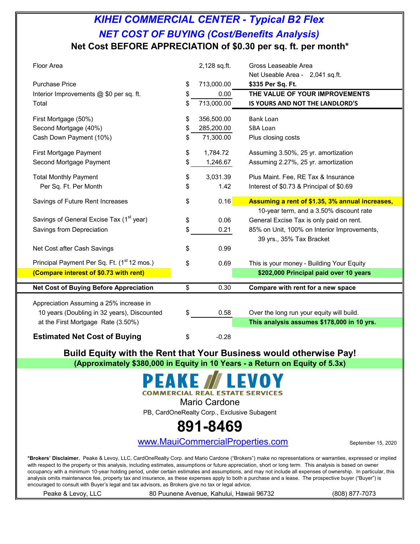## *KIHEI COMMERCIAL CENTER - Typical B2 Flex* **Net Cost BEFORE APPRECIATION of \$0.30 per sq. ft. per month\*** *NET COST OF BUYING (Cost/Benefits Analysis)*

| Floor Area                                                                             | 2,128 sq.ft.     | Gross Leaseable Area<br>Net Useable Area - 2,041 sq.ft.                                 |
|----------------------------------------------------------------------------------------|------------------|-----------------------------------------------------------------------------------------|
| <b>Purchase Price</b>                                                                  | \$<br>713,000.00 | \$335 Per Sq. Ft.                                                                       |
| Interior Improvements @ \$0 per sq. ft.                                                | \$<br>0.00       | THE VALUE OF YOUR IMPROVEMENTS                                                          |
| Total                                                                                  | \$<br>713,000.00 | IS YOURS AND NOT THE LANDLORD'S                                                         |
| First Mortgage (50%)                                                                   | \$<br>356,500.00 | <b>Bank Loan</b>                                                                        |
| Second Mortgage (40%)                                                                  | \$<br>285,200.00 | <b>SBA Loan</b>                                                                         |
| Cash Down Payment (10%)                                                                | \$<br>71,300.00  | Plus closing costs                                                                      |
| First Mortgage Payment                                                                 | \$<br>1,784.72   | Assuming 3.50%, 25 yr. amortization                                                     |
| Second Mortgage Payment                                                                | \$<br>1,246.67   | Assuming 2.27%, 25 yr. amortization                                                     |
| <b>Total Monthly Payment</b>                                                           | \$<br>3,031.39   | Plus Maint. Fee, RE Tax & Insurance                                                     |
| Per Sq. Ft. Per Month                                                                  | \$<br>1.42       | Interest of \$0.73 & Principal of \$0.69                                                |
| Savings of Future Rent Increases                                                       | \$<br>0.16       | Assuming a rent of \$1.35, 3% annual increases,                                         |
|                                                                                        |                  | 10-year term, and a 3.50% discount rate                                                 |
| Savings of General Excise Tax (1 <sup>st</sup> year)                                   | \$<br>0.06       | General Excise Tax is only paid on rent.                                                |
| Savings from Depreciation                                                              | \$<br>0.21       | 85% on Unit, 100% on Interior Improvements,                                             |
|                                                                                        |                  | 39 yrs., 35% Tax Bracket                                                                |
| Net Cost after Cash Savings                                                            | \$<br>0.99       |                                                                                         |
| Principal Payment Per Sq. Ft. (1 <sup>st</sup> 12 mos.)                                | \$<br>0.69       | This is your money - Building Your Equity                                               |
| (Compare interest of \$0.73 with rent)                                                 |                  | \$202,000 Principal paid over 10 years                                                  |
| <b>Net Cost of Buying Before Appreciation</b>                                          | \$<br>0.30       | Compare with rent for a new space                                                       |
|                                                                                        |                  |                                                                                         |
| Appreciation Assuming a 25% increase in<br>10 years (Doubling in 32 years), Discounted | 0.58             |                                                                                         |
| at the First Mortgage Rate (3.50%)                                                     | \$               | Over the long run your equity will build.<br>This analysis assumes \$178,000 in 10 yrs. |
|                                                                                        |                  |                                                                                         |
| <b>Estimated Net Cost of Buying</b>                                                    | \$<br>$-0.28$    |                                                                                         |

**Build Equity with the Rent that Your Business would otherwise Pay! (Approximately \$380,000 in Equity in 10 Years - a Return on Equity of 5.3x)**

**COMMERCIAL REAL ESTATE SERVICES** 

Mario Cardone

PB, CardOneRealty Corp., Exclusive Subagent

# **891-8469**

[www](http://www.mauicommercialproperties.com/).MauiCommercialProperties.com September 15, 2020

**\*Brokers' Disclaimer.** Peake & Levoy, LLC, CardOneRealty Corp. and Mario Cardone ("Brokers") make no representations or warranties, expressed or implied with respect to the property or this analysis, including estimates, assumptions or future appreciation, short or long term. This analysis is based on owner occupancy with a minimum 10-year holding period, under certain estimates and assumptions, and may not include all expenses of ownership. In particular, this analysis omits maintenance fee, property tax and insurance, as these expenses apply to both a purchase and a lease. The prospective buyer ("Buyer") is encouraged to consult with Buyer's legal and tax advisors, as Brokers give no tax or legal advice.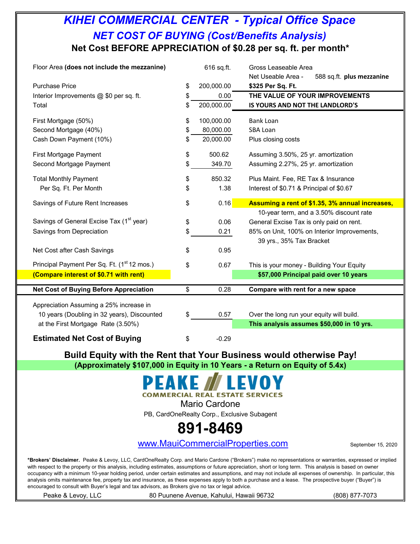## *KIHEI COMMERCIAL CENTER - Typical Office Space* **Net Cost BEFORE APPRECIATION of \$0.28 per sq. ft. per month\*** *NET COST OF BUYING (Cost/Benefits Analysis)*

| Floor Area (does not include the mezzanine)             | 616 sq.ft.       | Gross Leaseable Area<br>Net Useable Area -<br>588 sq.ft. plus mezzanine |
|---------------------------------------------------------|------------------|-------------------------------------------------------------------------|
| <b>Purchase Price</b>                                   | \$<br>200,000.00 | \$325 Per Sq. Ft.                                                       |
| Interior Improvements @ \$0 per sq. ft.                 | \$<br>0.00       | THE VALUE OF YOUR IMPROVEMENTS                                          |
| Total                                                   | \$<br>200,000.00 | IS YOURS AND NOT THE LANDLORD'S                                         |
| First Mortgage (50%)                                    | \$<br>100,000.00 | <b>Bank Loan</b>                                                        |
| Second Mortgage (40%)                                   | \$<br>80,000.00  | <b>SBA Loan</b>                                                         |
| Cash Down Payment (10%)                                 | \$<br>20,000.00  | Plus closing costs                                                      |
| First Mortgage Payment                                  | \$<br>500.62     | Assuming 3.50%, 25 yr. amortization                                     |
| Second Mortgage Payment                                 | \$<br>349.70     | Assuming 2.27%, 25 yr. amortization                                     |
| <b>Total Monthly Payment</b>                            | \$<br>850.32     | Plus Maint. Fee, RE Tax & Insurance                                     |
| Per Sq. Ft. Per Month                                   | \$<br>1.38       | Interest of \$0.71 & Principal of \$0.67                                |
| Savings of Future Rent Increases                        | \$<br>0.16       | Assuming a rent of \$1.35, 3% annual increases,                         |
|                                                         |                  | 10-year term, and a 3.50% discount rate                                 |
| Savings of General Excise Tax (1 <sup>st</sup> year)    | \$<br>0.06       | General Excise Tax is only paid on rent.                                |
| Savings from Depreciation                               | \$<br>0.21       | 85% on Unit, 100% on Interior Improvements,                             |
|                                                         |                  | 39 yrs., 35% Tax Bracket                                                |
| Net Cost after Cash Savings                             | \$<br>0.95       |                                                                         |
| Principal Payment Per Sq. Ft. (1 <sup>st</sup> 12 mos.) | \$<br>0.67       | This is your money - Building Your Equity                               |
| (Compare interest of \$0.71 with rent)                  |                  | \$57,000 Principal paid over 10 years                                   |
| <b>Net Cost of Buying Before Appreciation</b>           | \$<br>0.28       | Compare with rent for a new space                                       |
|                                                         |                  |                                                                         |
| Appreciation Assuming a 25% increase in                 |                  |                                                                         |
| 10 years (Doubling in 32 years), Discounted             | \$<br>0.57       | Over the long run your equity will build.                               |
| at the First Mortgage Rate (3.50%)                      |                  | This analysis assumes \$50,000 in 10 yrs.                               |
| <b>Estimated Net Cost of Buying</b>                     | \$<br>$-0.29$    |                                                                         |

**Build Equity with the Rent that Your Business would otherwise Pay! (Approximately \$107,000 in Equity in 10 Years - a Return on Equity of 5.4x)**

#### EAKE Z **COMMERCIAL REAL ESTATE SERVICES**

Mario Cardone

PB, CardOneRealty Corp., Exclusive Subagent

# **891-8469**

[www](http://www.mauicommercialproperties.com/).MauiCommercialProperties.com September 15, 2020

**\*Brokers' Disclaimer.** Peake & Levoy, LLC, CardOneRealty Corp. and Mario Cardone ("Brokers") make no representations or warranties, expressed or implied with respect to the property or this analysis, including estimates, assumptions or future appreciation, short or long term. This analysis is based on owner occupancy with a minimum 10-year holding period, under certain estimates and assumptions, and may not include all expenses of ownership. In particular, this analysis omits maintenance fee, property tax and insurance, as these expenses apply to both a purchase and a lease. The prospective buyer ("Buyer") is encouraged to consult with Buyer's legal and tax advisors, as Brokers give no tax or legal advice.